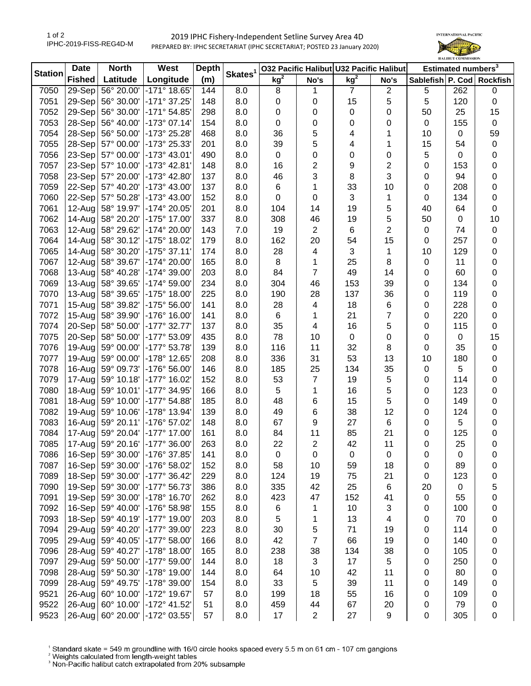1 of 2 IPHC-2019-FISS-REG4D-M

## 2019 IPHC Fishery-Independent Setline Survey Area 4D PREPARED BY: IPHC SECRETARIAT (IPHC SECRETARIAT; POSTED 23 January 2020)



| <b>Station</b> | <b>Date</b>   | <b>North</b>      | West                           | <b>Depth</b> |                     | 032 Pacific Halibut U32 Pacific Halibut |                |                 | Estimated numbers <sup>3</sup> |    |         |                           |
|----------------|---------------|-------------------|--------------------------------|--------------|---------------------|-----------------------------------------|----------------|-----------------|--------------------------------|----|---------|---------------------------|
|                | <b>Fished</b> | Latitude          | Longitude                      | (m)          | Skates <sup>1</sup> | kg <sup>2</sup>                         | No's           | kg <sup>2</sup> | No's                           |    |         | Sablefish P. Cod Rockfish |
| 7050           | 29-Sep        | 56° 20.00'        | $-171°$ 18.65                  | 144          | 8.0                 | 8                                       | 1              | $\overline{7}$  | $\mathbf{2}$                   | 5  | 262     | $\pmb{0}$                 |
| 7051           | 29-Sep        | 56° 30.00'        | $-171°37.25'$                  | 148          | 8.0                 | 0                                       | 0              | 15              | 5                              | 5  | 120     | $\pmb{0}$                 |
| 7052           | 29-Sep        | 56° 30.00'        | $-171°54.85'$                  | 298          | 8.0                 | 0                                       | 0              | 0               | 0                              | 50 | 25      | 15                        |
| 7053           | 28-Sep        | 56° 40.00'        | $-173°07.14'$                  | 154          | 8.0                 | 0                                       | 0              | 0               | 0                              | 0  | 155     | $\mathbf 0$               |
| 7054           | 28-Sep        | 56° 50.00'        | -173° 25.28'                   | 468          | 8.0                 | 36                                      | 5              | 4               | 1                              | 10 | 0       | 59                        |
| 7055           | 28-Sep        | 57° 00.00'        | -173° 25.33'                   | 201          | 8.0                 | 39                                      | 5              | 4               | 1                              | 15 | 54      | 0                         |
| 7056           | $23-Sep$      | 57° 00.00'        | -173° 43.01'                   | 490          | 8.0                 | $\pmb{0}$                               | 0              | 0               | 0                              | 5  | 0       | 0                         |
| 7057           | 23-Sep        | 57° 10.00'        | $-173°$ 42.81                  | 148          | 8.0                 | 16                                      | $\overline{c}$ | 9               | 2                              | 0  | 153     | 0                         |
| 7058           | $23-Sep$      | 57° 20.00'        | -173° 42.80'                   | 137          | 8.0                 | 46                                      | 3              | 8               | 3                              | 0  | 94      | 0                         |
| 7059           | 22-Sep        | 57° 40.20'        | -173° 43.00'                   | 137          | 8.0                 | 6                                       | 1              | 33              | 10                             | 0  | 208     | 0                         |
| 7060           | 22-Sep        | 57° 50.28'        | -173° 43.00'                   | 152          | 8.0                 | $\pmb{0}$                               | 0              | 3               | 1                              | 0  | 134     | 0                         |
| 7061           | 12-Augl       | 58° 19.97'        | -174° 20.05'                   | 201          | 8.0                 | 104                                     | 14             | 19              | 5                              | 40 | 64      | 0                         |
| 7062           | 14-Aug        | 58° 20.20'        | -175° 17.00'                   | 337          | 8.0                 | 308                                     | 46             | 19              | 5                              | 50 | 0       | 10                        |
| 7063           | $12$ -Aug     | 58° 29.62'        | -174° 20.00'                   | 143          | 7.0                 | 19                                      | $\overline{c}$ | 6               | 2                              | 0  | 74      | $\pmb{0}$                 |
| 7064           | $14$ -Aug     | 58° 30.12'        | $-175^{\circ}$ 18.02           | 179          | 8.0                 | 162                                     | 20             | 54              | 15                             | 0  | 257     | 0                         |
| 7065           | $14 - Aug$    | 58° 30.20'        | $-175°37.11'$                  | 174          | 8.0                 | 28                                      | 4              | 3               | 1                              | 10 | 129     | 0                         |
| 7067           | $12$ -Aug     | 58° 39.67'        | -174° 20.00'                   | 165          | 8.0                 | 8                                       | 1              | 25              | 8                              | 0  | 11      | 0                         |
| 7068           | $13 - Aug$    | 58° 40.28'        | -174° 39.00'                   | 203          | 8.0                 | 84                                      | 7              | 49              | 14                             | 0  | 60      | 0                         |
| 7069           | $13$ -Aug     | 58° 39.65'        | -174° 59.00'                   | 234          | 8.0                 | 304                                     | 46             | 153             | 39                             | 0  | 134     | 0                         |
| 7070           | $13-Aug$      | 58° 39.65'        | $-175°$ 18.00'                 | 225          | 8.0                 | 190                                     | 28             | 137             | 36                             | 0  | 119     | 0                         |
| 7071           | $15-Aug$      | 58° 39.82'        | -175° 56.00'                   | 141          | 8.0                 | 28                                      | 4              | 18              | 6                              | 0  | 228     | 0                         |
| 7072           | $15-Aug$      | 58° 39.90'        | $-176°$ 16.00                  | 141          | 8.0                 | 6                                       | 1              | 21              | 7                              | 0  | 220     | 0                         |
| 7074           | $20-Sep$      | 58° 50.00'        | -177° 32.77'                   | 137          | 8.0                 | 35                                      | 4              | 16              | 5                              | 0  | 115     | $\pmb{0}$                 |
| 7075           | $20-Sep$      | 58° 50.00'        | -177° 53.09'                   | 435          | 8.0                 | 78                                      | 10             | 0               | 0                              | 0  | 0       | 15                        |
| 7076           | 19-Aug        | 59° 00.00'        | $-177°53.78'$                  | 139          | 8.0                 | 116                                     | 11             | 32              | 8                              | 0  | 35      | $\pmb{0}$                 |
| 7077           | $19-Auq$      | 59° 00.00'        | -178° 12.65'                   | 208          | 8.0                 | 336                                     | 31             | 53              | 13                             | 10 | 180     | $\mathbf 0$               |
| 7078           | $16$ -Aug     | 59° 09.73'        | -176° 56.00'                   | 146          | 8.0                 | 185                                     | 25             | 134             | 35                             | 0  | 5       | 0                         |
| 7079           | $17-Aug$      | 59° 10.18'        | -177° 16.02'                   | 152          | 8.0                 | 53                                      | $\overline{7}$ | 19              | $\sqrt{5}$                     | 0  | 114     | 0                         |
| 7080           | 18-Aug        | 59° 10.01'        | -177° 34.95'                   | 166          | 8.0                 | 5                                       | 1              | 16              | 5                              | 0  | 123     | 0                         |
| 7081           | $18-Aug$      | 59° 10.00'        | $-177°54.88'$                  | 185          | 8.0                 | 48                                      | 6              | 15              | 5                              | 0  | 149     | 0                         |
| 7082           | $19-Aug$      | 59° 10.06'        | -178° 13.94'                   | 139          | 8.0                 | 49                                      | 6              | 38              | 12                             | 0  | 124     | 0                         |
| 7083           | $16$ -Aug     | 59° 20.11'        | -176° 57.02'                   | 148          | 8.0                 | 67                                      | 9              | 27              | 6                              | 0  | 5       | 0                         |
| 7084           | 17-Augl       | 59° 20.04'        | $-177^{\circ}$ 17.00           | 161          | 8.0                 | 84                                      | 11             | 85              | 21                             | 0  | 125     | $\mathbf 0$               |
| 7085           | $17-Auq$      | 59° 20.16'        | $-177^{\circ}$ 36.00           | 263          | 8.0                 | 22                                      | $\overline{2}$ | 42              | 11                             | 0  | 25      | $\pmb{0}$                 |
| 7086           |               | 16-Sep 59° 30.00' | -176° 37.85'                   |              | 8.0                 | 0                                       |                |                 |                                |    |         |                           |
| 7087           | $16-Sep$      | 59° 30.00'        | -176° 58.02'                   | 141          | 8.0                 | 58                                      | 0<br>10        | 0<br>59         | 0<br>18                        | 0  | 0<br>89 | 0                         |
|                |               | 18-Sep 59° 30.00' |                                | 152          |                     |                                         |                |                 |                                | 0  | 123     | 0                         |
| 7089           |               |                   | $-177^{\circ}$ 36.42'          | 229          | 8.0                 | 124                                     | 19             | 75              | 21                             | 0  |         | 0                         |
| 7090           | 19-Sep        | 59° 30.00'        | -177° 56.73'                   | 386          | 8.0                 | 335                                     | 42             | 25              | 6                              | 20 | 0       | 5                         |
| 7091           | $19-Sep$      | 59° 30.00'        | -178° 16.70'                   | 262          | 8.0                 | 423                                     | 47             | 152             | 41                             | 0  | 55      | 0                         |
| 7092           | $16-Sep$      | 59° 40.00'        | -176° 58.98'                   | 155          | 8.0                 | 6                                       | 1              | 10              | 3                              | 0  | 100     | 0                         |
| 7093           |               | 18-Sep 59° 40.19' | -177° 19.00'                   | 203          | 8.0                 | 5                                       | 1              | 13              | 4                              | 0  | 70      | 0                         |
| 7094           |               | 29-Aug 59° 40.20' | -177° 39.00'                   | 223          | 8.0                 | 30                                      | 5              | 71              | 19                             | 0  | 114     | 0                         |
| 7095           |               | 29-Aug 59° 40.05' | $-177^{\circ} 58.00'$          | 166          | 8.0                 | 42                                      | $\overline{7}$ | 66              | 19                             | 0  | 140     | 0                         |
| 7096           | 28-Aug        | 59° 40.27'        | -178° 18.00'                   | 165          | 8.0                 | 238                                     | 38             | 134             | 38                             | 0  | 105     | 0                         |
| 7097           | 29-Aug        | 59° 50.00'        | -177° 59.00'                   | 144          | 8.0                 | 18                                      | 3              | 17              | $\sqrt{5}$                     | 0  | 250     | 0                         |
| 7098           | 28-Aug        | 59° 50.30'        | -178° 19.00'                   | 144          | 8.0                 | 64                                      | 10             | 42              | 11                             | 0  | 80      | 0                         |
| 7099           | $28 - Aug$    | 59° 49.75'        | -178° 39.00'                   | 154          | 8.0                 | 33                                      | 5              | 39              | 11                             | 0  | 149     | 0                         |
| 9521           |               | 26-Aug 60° 10.00' | -172° 19.67'                   | 57           | 8.0                 | 199                                     | 18             | 55              | 16                             | 0  | 109     | 0                         |
| 9522           |               | 26-Aug 60° 10.00' | -172° 41.52'                   | 51           | 8.0                 | 459                                     | 44             | 67              | 20                             | 0  | 79      | 0                         |
| 9523           |               |                   | 26-Aug 60° 20.00' -172° 03.55' | 57           | 8.0                 | 17                                      | $\overline{c}$ | 27              | $\boldsymbol{9}$               | 0  | 305     | $\pmb{0}$                 |

<sup>1</sup> Standard skate = 549 m groundline with 16/0 circle hooks spaced every 5.5 m on 61 cm - 107 cm gangions <sup>2</sup> Weights calculated from length-weight tables<br><sup>2</sup> Weights calculated from length-weight tables<br><sup>3</sup> Non-Pacific